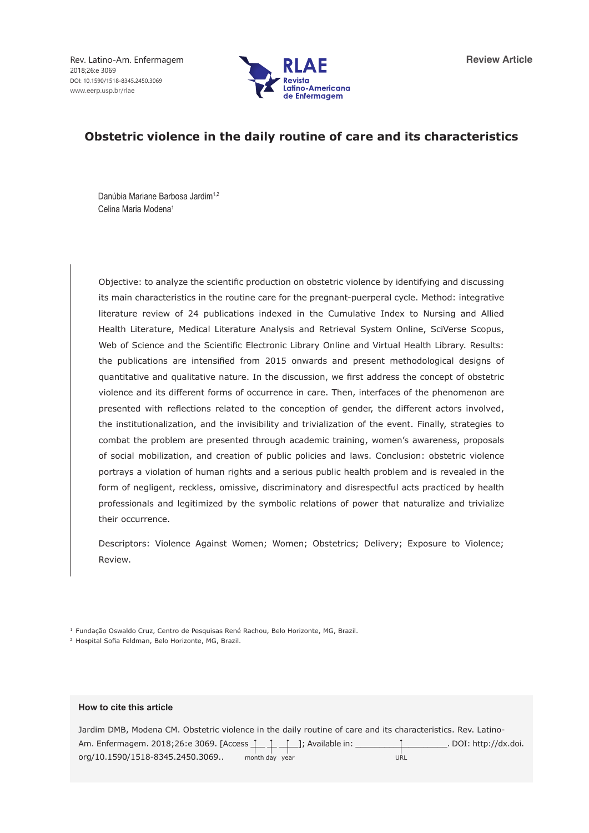Rev. Latino-Am. Enfermagem 2018;26:e 3069 DOI: 10.1590/1518-8345.2450.3069 www.eerp.usp.br/rlae



# **Obstetric violence in the daily routine of care and its characteristics**

Danúbia Mariane Barbosa Jardim<sup>1,2</sup> Celina Maria Modena1

Objective: to analyze the scientific production on obstetric violence by identifying and discussing its main characteristics in the routine care for the pregnant-puerperal cycle. Method: integrative literature review of 24 publications indexed in the Cumulative Index to Nursing and Allied Health Literature, Medical Literature Analysis and Retrieval System Online, SciVerse Scopus, Web of Science and the Scientific Electronic Library Online and Virtual Health Library. Results: the publications are intensified from 2015 onwards and present methodological designs of quantitative and qualitative nature. In the discussion, we first address the concept of obstetric violence and its different forms of occurrence in care. Then, interfaces of the phenomenon are presented with reflections related to the conception of gender, the different actors involved, the institutionalization, and the invisibility and trivialization of the event. Finally, strategies to combat the problem are presented through academic training, women's awareness, proposals of social mobilization, and creation of public policies and laws. Conclusion: obstetric violence portrays a violation of human rights and a serious public health problem and is revealed in the form of negligent, reckless, omissive, discriminatory and disrespectful acts practiced by health professionals and legitimized by the symbolic relations of power that naturalize and trivialize their occurrence.

Descriptors: Violence Against Women; Women; Obstetrics; Delivery; Exposure to Violence; Review.

<sup>1</sup> Fundação Oswaldo Cruz, Centro de Pesquisas René Rachou, Belo Horizonte, MG, Brazil.

<sup>2</sup> Hospital Sofia Feldman, Belo Horizonte, MG, Brazil.

### **How to cite this article**

Jardim DMB, Modena CM. Obstetric violence in the daily routine of care and its characteristics. Rev. Latino-Am. Enfermagem. 2018;26:e 3069. [Access \_\_\_ \_\_ \_\_\_\_]; Available in: \_\_\_\_\_\_\_\_\_\_\_\_\_\_\_\_\_\_\_. DOI: http://dx.doi. org/10.1590/1518-8345.2450.3069.. month day year URL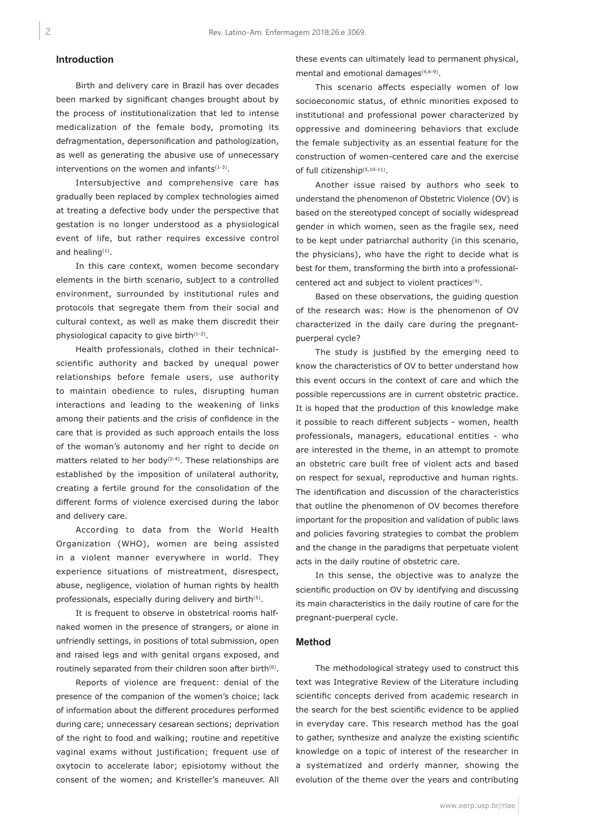# **Introduction**

Birth and delivery care in Brazil has over decades been marked by significant changes brought about by the process of institutionalization that led to intense medicalization of the female body, promoting its defragmentation, depersonification and pathologization, as well as generating the abusive use of unnecessary interventions on the women and infants $(1-3)$ .

Intersubjective and comprehensive care has gradually been replaced by complex technologies aimed at treating a defective body under the perspective that gestation is no longer understood as a physiological event of life, but rather requires excessive control and healing $(1)$ .

In this care context, women become secondary elements in the birth scenario, subject to a controlled environment, surrounded by institutional rules and protocols that segregate them from their social and cultural context, as well as make them discredit their physiological capacity to give birth<sup>(1-2)</sup>.

Health professionals, clothed in their technicalscientific authority and backed by unequal power relationships before female users, use authority to maintain obedience to rules, disrupting human interactions and leading to the weakening of links among their patients and the crisis of confidence in the care that is provided as such approach entails the loss of the woman's autonomy and her right to decide on matters related to her body<sup>(2-4)</sup>. These relationships are established by the imposition of unilateral authority, creating a fertile ground for the consolidation of the different forms of violence exercised during the labor and delivery care.

According to data from the World Health Organization (WHO), women are being assisted in a violent manner everywhere in world. They experience situations of mistreatment, disrespect, abuse, negligence, violation of human rights by health professionals, especially during delivery and birth<sup>(5)</sup>.

It is frequent to observe in obstetrical rooms halfnaked women in the presence of strangers, or alone in unfriendly settings, in positions of total submission, open and raised legs and with genital organs exposed, and routinely separated from their children soon after birth<sup>(6)</sup>.

Reports of violence are frequent: denial of the presence of the companion of the women's choice; lack of information about the different procedures performed during care; unnecessary cesarean sections; deprivation of the right to food and walking; routine and repetitive vaginal exams without justification; frequent use of oxytocin to accelerate labor; episiotomy without the consent of the women; and Kristeller's maneuver. All

these events can ultimately lead to permanent physical, mental and emotional damages<sup>(4,6-9)</sup>.

This scenario affects especially women of low socioeconomic status, of ethnic minorities exposed to institutional and professional power characterized by oppressive and domineering behaviors that exclude the female subjectivity as an essential feature for the construction of women-centered care and the exercise of full citizenship(5,10-11).

Another issue raised by authors who seek to understand the phenomenon of Obstetric Violence (OV) is based on the stereotyped concept of socially widespread gender in which women, seen as the fragile sex, need to be kept under patriarchal authority (in this scenario, the physicians), who have the right to decide what is best for them, transforming the birth into a professionalcentered act and subject to violent practices<sup>(4)</sup>.

Based on these observations, the guiding question of the research was: How is the phenomenon of OV characterized in the daily care during the pregnantpuerperal cycle?

The study is justified by the emerging need to know the characteristics of OV to better understand how this event occurs in the context of care and which the possible repercussions are in current obstetric practice. It is hoped that the production of this knowledge make it possible to reach different subjects - women, health professionals, managers, educational entities - who are interested in the theme, in an attempt to promote an obstetric care built free of violent acts and based on respect for sexual, reproductive and human rights. The identification and discussion of the characteristics that outline the phenomenon of OV becomes therefore important for the proposition and validation of public laws and policies favoring strategies to combat the problem and the change in the paradigms that perpetuate violent acts in the daily routine of obstetric care.

In this sense, the objective was to analyze the scientific production on OV by identifying and discussing its main characteristics in the daily routine of care for the pregnant-puerperal cycle.

#### **Method**

The methodological strategy used to construct this text was Integrative Review of the Literature including scientific concepts derived from academic research in the search for the best scientific evidence to be applied in everyday care. This research method has the goal to gather, synthesize and analyze the existing scientific knowledge on a topic of interest of the researcher in a systematized and orderly manner, showing the evolution of the theme over the years and contributing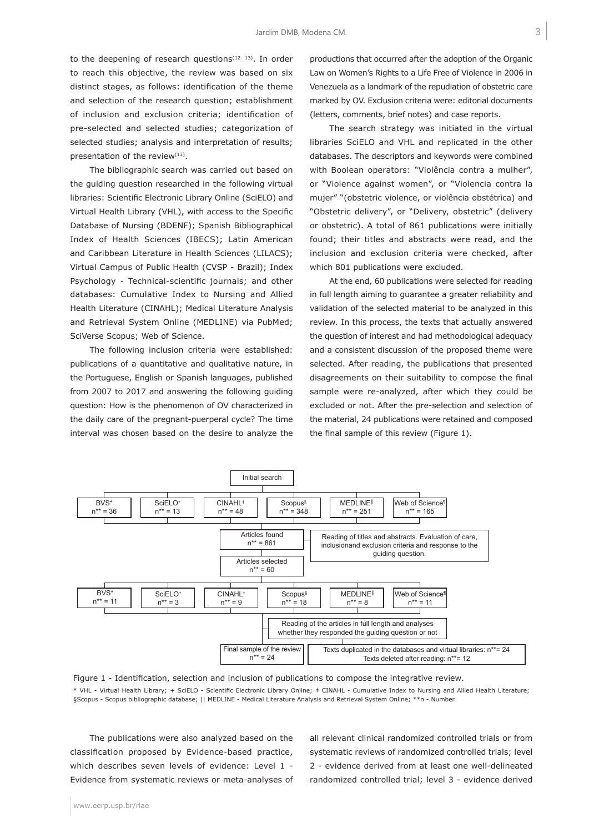to the deepening of research questions $(12-13)$ . In order to reach this objective, the review was based on six distinct stages, as follows: identification of the theme and selection of the research question; establishment of inclusion and exclusion criteria; identification of pre-selected and selected studies; categorization of selected studies; analysis and interpretation of results; presentation of the review $(13)$ .

The bibliographic search was carried out based on the guiding question researched in the following virtual libraries: Scientific Electronic Library Online (SciELO) and Virtual Health Library (VHL), with access to the Specific Database of Nursing (BDENF); Spanish Bibliographical Index of Health Sciences (IBECS); Latin American and Caribbean Literature in Health Sciences (LILACS); Virtual Campus of Public Health (CVSP - Brazil); Index Psychology - Technical-scientific journals; and other databases: Cumulative Index to Nursing and Allied Health Literature (CINAHL); Medical Literature Analysis and Retrieval System Online (MEDLINE) via PubMed; SciVerse Scopus; Web of Science.

The following inclusion criteria were established: publications of a quantitative and qualitative nature, in the Portuguese, English or Spanish languages, published from 2007 to 2017 and answering the following guiding question: How is the phenomenon of OV characterized in the daily care of the pregnant-puerperal cycle? The time interval was chosen based on the desire to analyze the

productions that occurred after the adoption of the Organic Law on Women's Rights to a Life Free of Violence in 2006 in Venezuela as a landmark of the repudiation of obstetric care marked by OV. Exclusion criteria were: editorial documents (letters, comments, brief notes) and case reports.

The search strategy was initiated in the virtual libraries SciELO and VHL and replicated in the other databases. The descriptors and keywords were combined with Boolean operators: "Violência contra a mulher", or "Violence against women", or "Violencia contra la mujer" "(obstetric violence, or violência obstétrica) and "Obstetric delivery", or "Delivery, obstetric" (delivery or obstetric). A total of 861 publications were initially found; their titles and abstracts were read, and the inclusion and exclusion criteria were checked, after which 801 publications were excluded.

At the end, 60 publications were selected for reading in full length aiming to guarantee a greater reliability and validation of the selected material to be analyzed in this review. In this process, the texts that actually answered the question of interest and had methodological adequacy and a consistent discussion of the proposed theme were selected. After reading, the publications that presented disagreements on their suitability to compose the final sample were re-analyzed, after which they could be excluded or not. After the pre-selection and selection of the material, 24 publications were retained and composed the final sample of this review (Figure 1).



Figure 1 - Identification, selection and inclusion of publications to compose the integrative review. \* VHL - Virtual Health Library; + SciELO - Scientific Electronic Library Online; ‡ CINAHL - Cumulative Index to Nursing and Allied Health Literature; §Scopus - Scopus bibliographic database; || MEDLINE - Medical Literature Analysis and Retrieval System Online; \*\*n - Number.

The publications were also analyzed based on the classification proposed by Evidence-based practice, which describes seven levels of evidence: Level 1 - Evidence from systematic reviews or meta-analyses of

all relevant clinical randomized controlled trials or from systematic reviews of randomized controlled trials; level 2 - evidence derived from at least one well-delineated randomized controlled trial; level 3 - evidence derived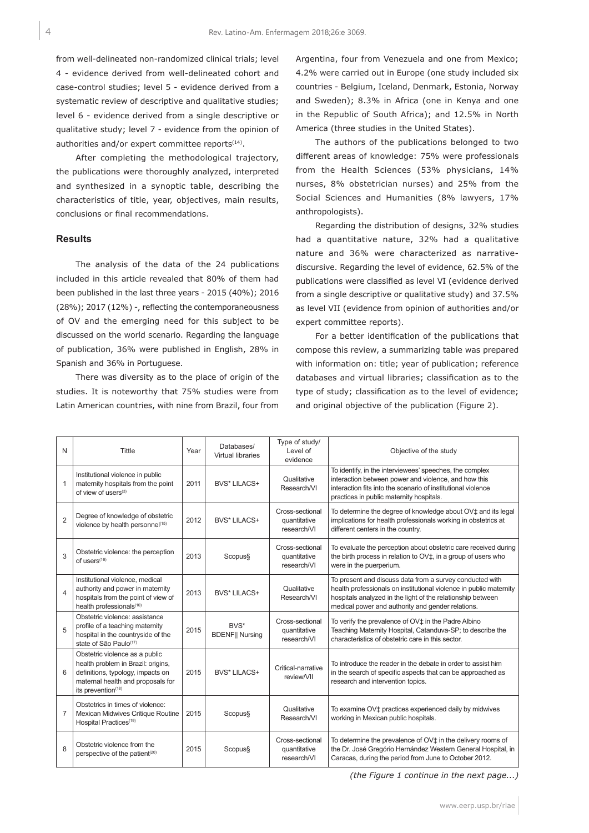from well-delineated non-randomized clinical trials; level 4 - evidence derived from well-delineated cohort and case-control studies; level 5 - evidence derived from a systematic review of descriptive and qualitative studies; level 6 - evidence derived from a single descriptive or qualitative study; level 7 - evidence from the opinion of authorities and/or expert committee reports<sup>(14)</sup>.

After completing the methodological trajectory, the publications were thoroughly analyzed, interpreted and synthesized in a synoptic table, describing the characteristics of title, year, objectives, main results, conclusions or final recommendations.

### **Results**

The analysis of the data of the 24 publications included in this article revealed that 80% of them had been published in the last three years - 2015 (40%); 2016 (28%); 2017 (12%) -, reflecting the contemporaneousness of OV and the emerging need for this subject to be discussed on the world scenario. Regarding the language of publication, 36% were published in English, 28% in Spanish and 36% in Portuguese.

There was diversity as to the place of origin of the studies. It is noteworthy that 75% studies were from Latin American countries, with nine from Brazil, four from Argentina, four from Venezuela and one from Mexico; 4.2% were carried out in Europe (one study included six countries - Belgium, Iceland, Denmark, Estonia, Norway and Sweden); 8.3% in Africa (one in Kenya and one in the Republic of South Africa); and 12.5% in North America (three studies in the United States).

The authors of the publications belonged to two different areas of knowledge: 75% were professionals from the Health Sciences (53% physicians, 14% nurses, 8% obstetrician nurses) and 25% from the Social Sciences and Humanities (8% lawyers, 17% anthropologists).

Regarding the distribution of designs, 32% studies had a quantitative nature, 32% had a qualitative nature and 36% were characterized as narrativediscursive. Regarding the level of evidence, 62.5% of the publications were classified as level VI (evidence derived from a single descriptive or qualitative study) and 37.5% as level VII (evidence from opinion of authorities and/or expert committee reports).

For a better identification of the publications that compose this review, a summarizing table was prepared with information on: title; year of publication; reference databases and virtual libraries; classification as to the type of study; classification as to the level of evidence; and original objective of the publication (Figure 2).

| N              | <b>Tittle</b>                                                                                                                                                        | Year | Databases/<br>Virtual libraries       | Type of study/<br>Level of<br>evidence         | Objective of the study                                                                                                                                                                                                                             |
|----------------|----------------------------------------------------------------------------------------------------------------------------------------------------------------------|------|---------------------------------------|------------------------------------------------|----------------------------------------------------------------------------------------------------------------------------------------------------------------------------------------------------------------------------------------------------|
| $\mathbf{1}$   | Institutional violence in public<br>maternity hospitals from the point<br>of view of users <sup>(3)</sup>                                                            | 2011 | BVS* LILACS+                          | Qualitative<br>Research/VI                     | To identify, in the interviewees' speeches, the complex<br>interaction between power and violence, and how this<br>interaction fits into the scenario of institutional violence<br>practices in public maternity hospitals.                        |
| $\overline{2}$ | Degree of knowledge of obstetric<br>violence by health personnel(15)                                                                                                 | 2012 | <b>BVS* LILACS+</b>                   | Cross-sectional<br>quantitative<br>research/VI | To determine the degree of knowledge about OV <sup>+</sup> and its legal<br>implications for health professionals working in obstetrics at<br>different centers in the country.                                                                    |
| 3              | Obstetric violence: the perception<br>of users(16)                                                                                                                   | 2013 | Scopus§                               | Cross-sectional<br>quantitative<br>research/VI | To evaluate the perception about obstetric care received during<br>the birth process in relation to OV‡, in a group of users who<br>were in the puerperium.                                                                                        |
| $\overline{4}$ | Institutional violence, medical<br>authority and power in maternity<br>hospitals from the point of view of<br>health professionals(10)                               | 2013 | BVS* LILACS+                          | Qualitative<br>Research/VI                     | To present and discuss data from a survey conducted with<br>health professionals on institutional violence in public maternity<br>hospitals analyzed in the light of the relationship between<br>medical power and authority and gender relations. |
| 5              | Obstetric violence: assistance<br>profile of a teaching maternity<br>hospital in the countryside of the<br>state of São Paulo <sup>(17)</sup>                        | 2015 | <b>BVS*</b><br><b>BDENFII Nursing</b> | Cross-sectional<br>quantitative<br>research/VI | To verify the prevalence of OV <sub>‡</sub> in the Padre Albino<br>Teaching Maternity Hospital, Catanduva-SP; to describe the<br>characteristics of obstetric care in this sector.                                                                 |
| 6              | Obstetric violence as a public<br>health problem in Brazil: origins,<br>definitions, typology, impacts on<br>maternal health and proposals for<br>its prevention(18) | 2015 | BVS* LILACS+                          | Critical-narrative<br>review/VII               | To introduce the reader in the debate in order to assist him<br>in the search of specific aspects that can be approached as<br>research and intervention topics.                                                                                   |
| $\overline{7}$ | Obstetrics in times of violence:<br>Mexican Midwives Critique Routine<br>Hospital Practices <sup>(19)</sup>                                                          | 2015 | Scopus§                               | Qualitative<br>Research/VI                     | To examine OV <sup>+</sup> practices experienced daily by midwives<br>working in Mexican public hospitals.                                                                                                                                         |
| $\mathbf{8}$   | Obstetric violence from the<br>perspective of the patient <sup>(20)</sup>                                                                                            | 2015 | Scopus§                               | Cross-sectional<br>quantitative<br>research/VI | To determine the prevalence of OV‡ in the delivery rooms of<br>the Dr. José Gregório Hernández Western General Hospital, in<br>Caracas, during the period from June to October 2012.                                                               |

*(the Figure 1 continue in the next page...)*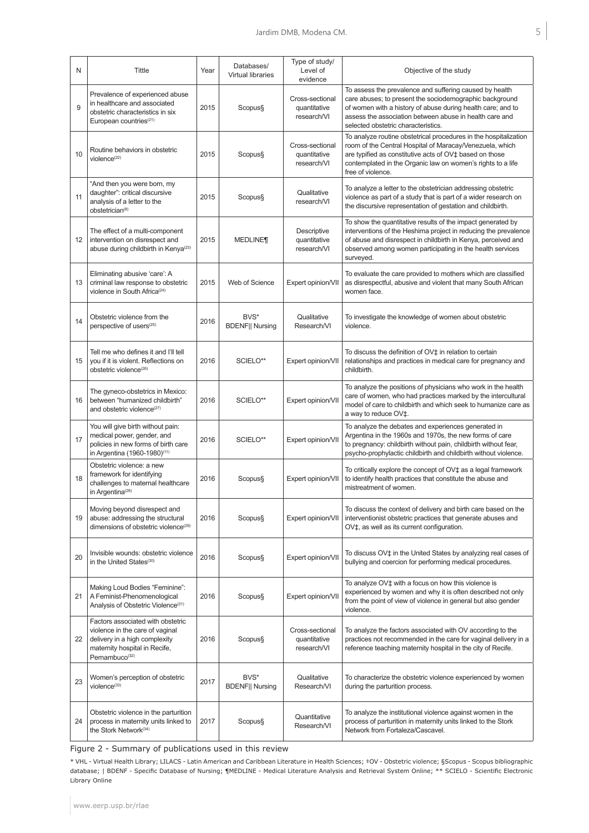| N  | Tittle                                                                                                                                                               | Year | Databases/<br><b>Virtual libraries</b> | Type of study/<br>Level of<br>evidence         | Objective of the study                                                                                                                                                                                                                                                              |
|----|----------------------------------------------------------------------------------------------------------------------------------------------------------------------|------|----------------------------------------|------------------------------------------------|-------------------------------------------------------------------------------------------------------------------------------------------------------------------------------------------------------------------------------------------------------------------------------------|
| 9  | Prevalence of experienced abuse<br>in healthcare and associated<br>obstetric characteristics in six<br>European countries <sup>(21)</sup>                            | 2015 | Scopus§                                | Cross-sectional<br>quantitative<br>research/VI | To assess the prevalence and suffering caused by health<br>care abuses; to present the sociodemographic background<br>of women with a history of abuse during health care; and to<br>assess the association between abuse in health care and<br>selected obstetric characteristics. |
| 10 | Routine behaviors in obstetric<br>violence <sup>(22)</sup>                                                                                                           | 2015 | Scopus§                                | Cross-sectional<br>quantitative<br>research/VI | To analyze routine obstetrical procedures in the hospitalization<br>room of the Central Hospital of Maracay/Venezuela, which<br>are typified as constitutive acts of OV‡ based on those<br>contemplated in the Organic law on women's rights to a life<br>free of violence.         |
| 11 | "And then you were born, my<br>daughter": critical discursive<br>analysis of a letter to the<br>obstetrician <sup>(8)</sup>                                          | 2015 | Scopus§                                | Qualitative<br>research/VI                     | To analyze a letter to the obstetrician addressing obstetric<br>violence as part of a study that is part of a wider research on<br>the discursive representation of gestation and childbirth.                                                                                       |
| 12 | The effect of a multi-component<br>intervention on disrespect and<br>abuse during childbirth in Kenya(23)                                                            | 2015 | <b>MEDLINE¶</b>                        | Descriptive<br>quantitative<br>research/VI     | To show the quantitative results of the impact generated by<br>interventions of the Heshima project in reducing the prevalence<br>of abuse and disrespect in childbirth in Kenya, perceived and<br>observed among women participating in the health services<br>surveyed.           |
| 13 | Eliminating abusive 'care': A<br>criminal law response to obstetric<br>violence in South Africa <sup>(24)</sup>                                                      | 2015 | Web of Science                         | Expert opinion/VII                             | To evaluate the care provided to mothers which are classified<br>as disrespectful, abusive and violent that many South African<br>women face.                                                                                                                                       |
| 14 | Obstetric violence from the<br>perspective of users <sup>(25)</sup>                                                                                                  | 2016 | BVS*<br><b>BDENFII Nursing</b>         | Qualitative<br>Research/VI                     | To investigate the knowledge of women about obstetric<br>violence.                                                                                                                                                                                                                  |
| 15 | Tell me who defines it and I'll tell<br>you if it is violent. Reflections on<br>obstetric violence <sup>(26)</sup>                                                   | 2016 | SCIELO**                               | Expert opinion/VII                             | To discuss the definition of OV‡ in relation to certain<br>relationships and practices in medical care for pregnancy and<br>childbirth.                                                                                                                                             |
| 16 | The gyneco-obstetrics in Mexico:<br>between "humanized childbirth"<br>and obstetric violence <sup>(27)</sup>                                                         | 2016 | SCIELO**                               | Expert opinion/VII                             | To analyze the positions of physicians who work in the health<br>care of women, who had practices marked by the intercultural<br>model of care to childbirth and which seek to humanize care as<br>a way to reduce OV‡.                                                             |
| 17 | You will give birth without pain:<br>medical power, gender, and<br>policies in new forms of birth care<br>in Argentina (1960-1980)(11)                               | 2016 | SCIELO**                               | Expert opinion/VII                             | To analyze the debates and experiences generated in<br>Argentina in the 1960s and 1970s, the new forms of care<br>to pregnancy: childbirth without pain, childbirth without fear,<br>psycho-prophylactic childbirth and childbirth without violence.                                |
| 18 | Obstetric violence: a new<br>framework for identifying<br>challenges to maternal healthcare<br>in Argentina <sup>(28)</sup>                                          | 2016 | Scopus§                                | Expert opinion/VII                             | To critically explore the concept of OV‡ as a legal framework<br>to identify health practices that constitute the abuse and<br>mistreatment of women.                                                                                                                               |
| 19 | Moving beyond disrespect and<br>abuse: addressing the structural<br>dimensions of obstetric violence <sup>(29)</sup>                                                 | 2016 | Scopus§                                | Expert opinion/VII                             | To discuss the context of delivery and birth care based on the<br>interventionist obstetric practices that generate abuses and<br>OV <sub>‡</sub> , as well as its current configuration.                                                                                           |
| 20 | Invisible wounds: obstetric violence<br>in the United States <sup>(30)</sup>                                                                                         | 2016 | Scopus§                                | Expert opinion/VII                             | To discuss OV‡ in the United States by analyzing real cases of<br>bullying and coercion for performing medical procedures.                                                                                                                                                          |
| 21 | Making Loud Bodies "Feminine":<br>A Feminist-Phenomenological<br>Analysis of Obstetric Violence <sup>(31)</sup>                                                      | 2016 | Scopus§                                | Expert opinion/VII                             | To analyze OV‡ with a focus on how this violence is<br>experienced by women and why it is often described not only<br>from the point of view of violence in general but also gender<br>violence.                                                                                    |
| 22 | Factors associated with obstetric<br>violence in the care of vaginal<br>delivery in a high complexity<br>maternity hospital in Recife,<br>Pernambuco <sup>(32)</sup> | 2016 | Scopus§                                | Cross-sectional<br>quantitative<br>research/VI | To analyze the factors associated with OV according to the<br>practices not recommended in the care for vaginal delivery in a<br>reference teaching maternity hospital in the city of Recife.                                                                                       |
| 23 | Women's perception of obstetric<br>violence <sup>(33)</sup>                                                                                                          | 2017 | BVS*<br><b>BDENF</b>    Nursing        | Qualitative<br>Research/VI                     | To characterize the obstetric violence experienced by women<br>during the parturition process.                                                                                                                                                                                      |
| 24 | Obstetric violence in the parturition<br>process in maternity units linked to<br>the Stork Network <sup>(34)</sup>                                                   | 2017 | Scopus§                                | Quantitative<br>Research/VI                    | To analyze the institutional violence against women in the<br>process of parturition in maternity units linked to the Stork<br>Network from Fortaleza/Cascavel.                                                                                                                     |

Figure 2 - Summary of publications used in this review

\* VHL - Virtual Health Library; LILACS - Latin American and Caribbean Literature in Health Sciences; ‡OV - Obstetric violence; §Scopus - Scopus bibliographic database; | BDENF - Specific Database of Nursing; ¶MEDLINE - Medical Literature Analysis and Retrieval System Online; \*\* SCIELO - Scientific Electronic Library Online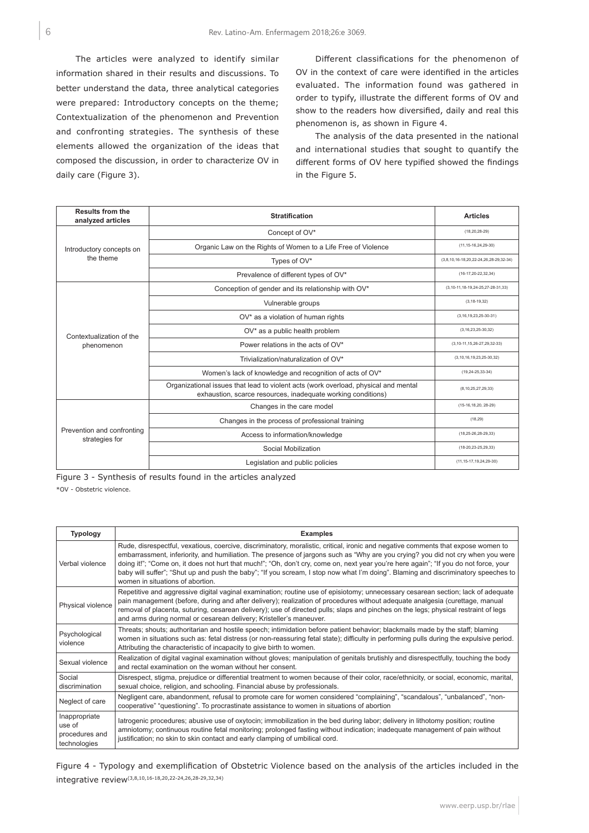The articles were analyzed to identify similar information shared in their results and discussions. To better understand the data, three analytical categories were prepared: Introductory concepts on the theme; Contextualization of the phenomenon and Prevention and confronting strategies. The synthesis of these elements allowed the organization of the ideas that composed the discussion, in order to characterize OV in daily care (Figure 3).

Different classifications for the phenomenon of OV in the context of care were identified in the articles evaluated. The information found was gathered in order to typify, illustrate the different forms of OV and show to the readers how diversified, daily and real this phenomenon is, as shown in Figure 4.

The analysis of the data presented in the national and international studies that sought to quantify the different forms of OV here typified showed the findings in the Figure 5.

| <b>Results from the</b><br>analyzed articles | <b>Stratification</b>                                                                                                                               | <b>Articles</b>                          |
|----------------------------------------------|-----------------------------------------------------------------------------------------------------------------------------------------------------|------------------------------------------|
|                                              | Concept of OV*                                                                                                                                      | $(18, 20, 28 - 29)$                      |
| Introductory concepts on                     | Organic Law on the Rights of Women to a Life Free of Violence                                                                                       | $(11, 15 - 16, 24, 29 - 30)$             |
| the theme                                    | Types of OV*                                                                                                                                        | (3,8,10,16-18,20,22-24,26,28-29,32-34)   |
|                                              | Prevalence of different types of OV*                                                                                                                | $(16-17, 20-22, 32, 34)$                 |
|                                              | Conception of gender and its relationship with OV*                                                                                                  | (3,10-11,18-19,24-25,27-28-31,33)        |
|                                              | Vulnerable groups                                                                                                                                   | $(3, 18 - 19, 32)$                       |
|                                              | OV* as a violation of human rights                                                                                                                  | $(3, 16, 19, 23, 25-30-31)$              |
| Contextualization of the                     | OV* as a public health problem                                                                                                                      | $(3, 16, 23, 25 - 30, 32)$               |
| phenomenon                                   | Power relations in the acts of OV*                                                                                                                  | $(3, 10 - 11, 15, 26 - 27, 29, 32 - 33)$ |
|                                              | Trivialization/naturalization of OV*                                                                                                                | $(3, 10, 16, 19, 23, 25-30, 32)$         |
|                                              | Women's lack of knowledge and recognition of acts of OV*                                                                                            | $(19, 24 - 25, 33 - 34)$                 |
|                                              | Organizational issues that lead to violent acts (work overload, physical and mental<br>exhaustion, scarce resources, inadequate working conditions) | (8, 10, 25, 27, 29, 33)                  |
|                                              | Changes in the care model                                                                                                                           | $(15-16, 18, 20, 28-29)$                 |
|                                              | Changes in the process of professional training                                                                                                     | (18, 29)                                 |
| Prevention and confronting<br>strategies for | Access to information/knowledge                                                                                                                     | $(18, 25 - 26, 28 - 29, 33)$             |
|                                              | Social Mobilization                                                                                                                                 | $(18-20.23-25.29.33)$                    |
|                                              | Legislation and public policies                                                                                                                     | $(11, 15 - 17, 19, 24, 29 - 30)$         |

Figure 3 - Synthesis of results found in the articles analyzed

\*OV - Obstetric violence.

| <b>Typology</b>                                                                                                                                                                                                                                                                                                                                                                                                                                                                                     | <b>Examples</b>                                                                                                                                                                                                                                                                                                                                                                                                                                                                                                                                                                         |  |  |  |  |
|-----------------------------------------------------------------------------------------------------------------------------------------------------------------------------------------------------------------------------------------------------------------------------------------------------------------------------------------------------------------------------------------------------------------------------------------------------------------------------------------------------|-----------------------------------------------------------------------------------------------------------------------------------------------------------------------------------------------------------------------------------------------------------------------------------------------------------------------------------------------------------------------------------------------------------------------------------------------------------------------------------------------------------------------------------------------------------------------------------------|--|--|--|--|
| Verbal violence                                                                                                                                                                                                                                                                                                                                                                                                                                                                                     | Rude, disrespectful, vexatious, coercive, discriminatory, moralistic, critical, ironic and negative comments that expose women to<br>embarrassment, inferiority, and humiliation. The presence of jargons such as "Why are you crying? you did not cry when you were<br>doing it!"; "Come on, it does not hurt that much!"; "Oh, don't cry, come on, next year you're here again"; "If you do not force, your<br>baby will suffer"; "Shut up and push the baby"; "If you scream, I stop now what I'm doing". Blaming and discriminatory speeches to<br>women in situations of abortion. |  |  |  |  |
| Repetitive and aggressive digital vaginal examination; routine use of episiotomy; unnecessary cesarean section; lack of adequate<br>pain management (before, during and after delivery); realization of procedures without adequate analgesia (curettage, manual<br>Physical violence<br>removal of placenta, suturing, cesarean delivery); use of directed pulls; slaps and pinches on the legs; physical restraint of legs<br>and arms during normal or cesarean delivery; Kristeller's maneuver. |                                                                                                                                                                                                                                                                                                                                                                                                                                                                                                                                                                                         |  |  |  |  |
| Psychological<br>violence                                                                                                                                                                                                                                                                                                                                                                                                                                                                           | Threats; shouts; authoritarian and hostile speech; intimidation before patient behavior; blackmails made by the staff; blaming<br>women in situations such as: fetal distress (or non-reassuring fetal state); difficulty in performing pulls during the expulsive period.<br>Attributing the characteristic of incapacity to give birth to women.                                                                                                                                                                                                                                      |  |  |  |  |
| Sexual violence                                                                                                                                                                                                                                                                                                                                                                                                                                                                                     | Realization of digital vaginal examination without gloves; manipulation of genitals brutishly and disrespectfully, touching the body<br>and rectal examination on the woman without her consent.                                                                                                                                                                                                                                                                                                                                                                                        |  |  |  |  |
| Social<br>discrimination                                                                                                                                                                                                                                                                                                                                                                                                                                                                            | Disrespect, stigma, prejudice or differential treatment to women because of their color, race/ethnicity, or social, economic, marital,<br>sexual choice, religion, and schooling. Financial abuse by professionals.                                                                                                                                                                                                                                                                                                                                                                     |  |  |  |  |
| Neglect of care                                                                                                                                                                                                                                                                                                                                                                                                                                                                                     | Negligent care, abandonment, refusal to promote care for women considered "complaining", "scandalous", "unbalanced", "non-<br>cooperative" "questioning". To procrastinate assistance to women in situations of abortion                                                                                                                                                                                                                                                                                                                                                                |  |  |  |  |
| Inappropriate<br>use of<br>procedures and<br>technologies                                                                                                                                                                                                                                                                                                                                                                                                                                           | latrogenic procedures; abusive use of oxytocin; immobilization in the bed during labor; delivery in lithotomy position; routine<br>amniotomy; continuous routine fetal monitoring; prolonged fasting without indication; inadequate management of pain without<br>justification; no skin to skin contact and early clamping of umbilical cord.                                                                                                                                                                                                                                          |  |  |  |  |

Figure 4 - Typology and exemplification of Obstetric Violence based on the analysis of the articles included in the integrative review(3,8,10,16-18,20,22-24,26,28-29,32,34)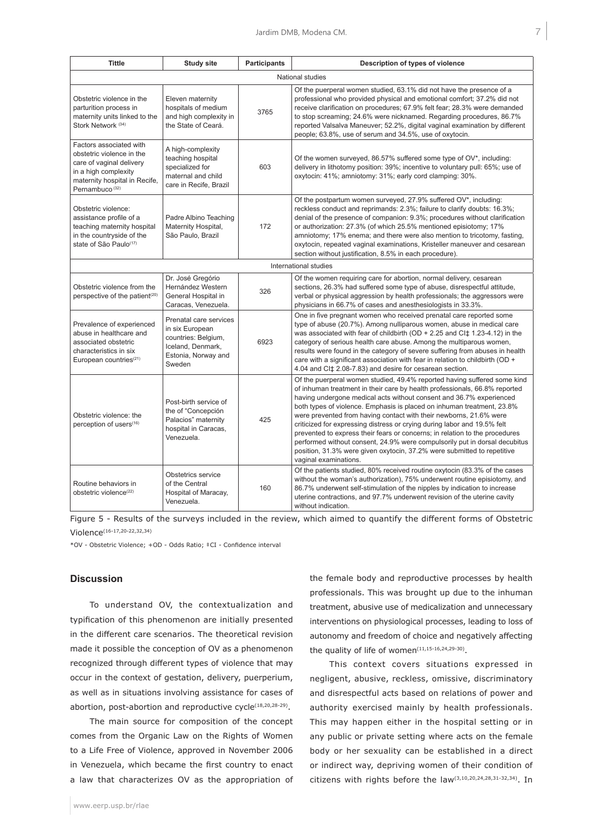| <b>Tittle</b>                                                                                                                                                           | <b>Study site</b>                                                                                                      | <b>Participants</b> | Description of types of violence                                                                                                                                                                                                                                                                                                                                                                                                                                                                                                                                                                                                                                                                                           |  |  |
|-------------------------------------------------------------------------------------------------------------------------------------------------------------------------|------------------------------------------------------------------------------------------------------------------------|---------------------|----------------------------------------------------------------------------------------------------------------------------------------------------------------------------------------------------------------------------------------------------------------------------------------------------------------------------------------------------------------------------------------------------------------------------------------------------------------------------------------------------------------------------------------------------------------------------------------------------------------------------------------------------------------------------------------------------------------------------|--|--|
| National studies                                                                                                                                                        |                                                                                                                        |                     |                                                                                                                                                                                                                                                                                                                                                                                                                                                                                                                                                                                                                                                                                                                            |  |  |
| Obstetric violence in the<br>parturition process in<br>maternity units linked to the<br>Stork Network (34)                                                              | Eleven maternity<br>hospitals of medium<br>and high complexity in<br>the State of Ceará.                               | 3765                | Of the puerperal women studied, 63.1% did not have the presence of a<br>professional who provided physical and emotional comfort; 37.2% did not<br>receive clarification on procedures; 67.9% felt fear; 28.3% were demanded<br>to stop screaming; 24.6% were nicknamed. Regarding procedures, 86.7%<br>reported Valsalva Maneuver; 52.2%, digital vaginal examination by different<br>people; 63.8%, use of serum and 34.5%, use of oxytocin.                                                                                                                                                                                                                                                                             |  |  |
| Factors associated with<br>obstetric violence in the<br>care of vaginal delivery<br>in a high complexity<br>maternity hospital in Recife,<br>Pernambuco <sup>(32)</sup> | A high-complexity<br>teaching hospital<br>specialized for<br>maternal and child<br>care in Recife, Brazil              | 603                 | Of the women surveyed, 86.57% suffered some type of OV*, including:<br>delivery in lithotomy position: 39%; incentive to voluntary pull: 65%; use of<br>oxytocin: 41%; amniotomy: 31%; early cord clamping: 30%.                                                                                                                                                                                                                                                                                                                                                                                                                                                                                                           |  |  |
| Obstetric violence:<br>assistance profile of a<br>teaching maternity hospital<br>in the countryside of the<br>state of São Paulo <sup>(17)</sup>                        | Padre Albino Teaching<br>Maternity Hospital,<br>São Paulo, Brazil                                                      | 172                 | Of the postpartum women surveyed, 27.9% suffered OV*, including:<br>reckless conduct and reprimands: 2.3%; failure to clarify doubts: 16.3%;<br>denial of the presence of companion: 9.3%; procedures without clarification<br>or authorization: 27.3% (of which 25.5% mentioned episiotomy; 17%<br>amniotomy; 17% enema; and there were also mention to tricotomy, fasting,<br>oxytocin, repeated vaginal examinations, Kristeller maneuver and cesarean<br>section without justification, 8.5% in each procedure).                                                                                                                                                                                                       |  |  |
|                                                                                                                                                                         |                                                                                                                        |                     | International studies                                                                                                                                                                                                                                                                                                                                                                                                                                                                                                                                                                                                                                                                                                      |  |  |
| Obstetric violence from the<br>perspective of the patient <sup>(20)</sup>                                                                                               | Dr. José Gregório<br>Hernández Western<br>General Hospital in<br>Caracas, Venezuela.                                   | 326                 | Of the women requiring care for abortion, normal delivery, cesarean<br>sections, 26.3% had suffered some type of abuse, disrespectful attitude,<br>verbal or physical aggression by health professionals; the aggressors were<br>physicians in 66.7% of cases and anesthesiologists in 33.3%.                                                                                                                                                                                                                                                                                                                                                                                                                              |  |  |
| Prevalence of experienced<br>abuse in healthcare and<br>associated obstetric<br>characteristics in six<br>European countries $(21)$                                     | Prenatal care services<br>in six European<br>countries: Belgium,<br>Iceland, Denmark,<br>Estonia, Norway and<br>Sweden | 6923                | One in five pregnant women who received prenatal care reported some<br>type of abuse (20.7%). Among nulliparous women, abuse in medical care<br>was associated with fear of childbirth (OD $+ 2.25$ and CI $\ddagger$ 1.23-4.12) in the<br>category of serious health care abuse. Among the multiparous women,<br>results were found in the category of severe suffering from abuses in health<br>care with a significant association with fear in relation to childbirth (OD +<br>4.04 and CI‡ 2.08-7.83) and desire for cesarean section.                                                                                                                                                                                |  |  |
| Obstetric violence: the<br>perception of users <sup>(16)</sup>                                                                                                          | Post-birth service of<br>the of "Concepción<br>Palacios" maternity<br>hospital in Caracas,<br>Venezuela.               | 425                 | Of the puerperal women studied, 49.4% reported having suffered some kind<br>of inhuman treatment in their care by health professionals, 66.8% reported<br>having undergone medical acts without consent and 36.7% experienced<br>both types of violence. Emphasis is placed on inhuman treatment, 23.8%<br>were prevented from having contact with their newborns, 21.6% were<br>criticized for expressing distress or crying during labor and 19.5% felt<br>prevented to express their fears or concerns; in relation to the procedures<br>performed without consent, 24.9% were compulsorily put in dorsal decubitus<br>position, 31.3% were given oxytocin, 37.2% were submitted to repetitive<br>vaginal examinations. |  |  |
| Routine behaviors in<br>obstetric violence <sup>(22)</sup>                                                                                                              | Obstetrics service<br>of the Central<br>Hospital of Maracay,<br>Venezuela.                                             | 160                 | Of the patients studied, 80% received routine oxytocin (83.3% of the cases<br>without the woman's authorization), 75% underwent routine episiotomy, and<br>86.7% underwent self-stimulation of the nipples by indication to increase<br>uterine contractions, and 97.7% underwent revision of the uterine cavity<br>without indication.                                                                                                                                                                                                                                                                                                                                                                                    |  |  |

Figure 5 - Results of the surveys included in the review, which aimed to quantify the different forms of Obstetric Violence(16-17,20-22,32,34)

\*OV - Obstetric Violence; +OD - Odds Ratio; ‡CI - Confidence interval

# **Discussion**

To understand OV, the contextualization and typification of this phenomenon are initially presented in the different care scenarios. The theoretical revision made it possible the conception of OV as a phenomenon recognized through different types of violence that may occur in the context of gestation, delivery, puerperium, as well as in situations involving assistance for cases of abortion, post-abortion and reproductive cycle<sup>(18,20,28-29)</sup>.

The main source for composition of the concept comes from the Organic Law on the Rights of Women to a Life Free of Violence, approved in November 2006 in Venezuela, which became the first country to enact a law that characterizes OV as the appropriation of the female body and reproductive processes by health professionals. This was brought up due to the inhuman treatment, abusive use of medicalization and unnecessary interventions on physiological processes, leading to loss of autonomy and freedom of choice and negatively affecting the quality of life of women $(11,15-16,24,29-30)$ .

This context covers situations expressed in negligent, abusive, reckless, omissive, discriminatory and disrespectful acts based on relations of power and authority exercised mainly by health professionals. This may happen either in the hospital setting or in any public or private setting where acts on the female body or her sexuality can be established in a direct or indirect way, depriving women of their condition of citizens with rights before the law(3,10,20,24,28,31-32,34). In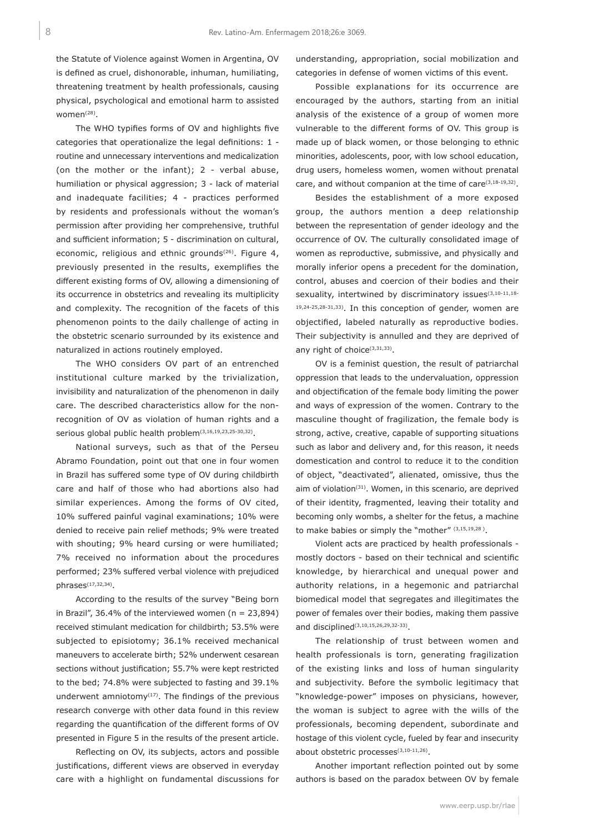the Statute of Violence against Women in Argentina, OV is defined as cruel, dishonorable, inhuman, humiliating, threatening treatment by health professionals, causing physical, psychological and emotional harm to assisted women(28).

The WHO typifies forms of OV and highlights five categories that operationalize the legal definitions: 1 routine and unnecessary interventions and medicalization (on the mother or the infant); 2 - verbal abuse, humiliation or physical aggression; 3 - lack of material and inadequate facilities; 4 - practices performed by residents and professionals without the woman's permission after providing her comprehensive, truthful and sufficient information; 5 - discrimination on cultural, economic, religious and ethnic grounds<sup>(26)</sup>. Figure 4, previously presented in the results, exemplifies the different existing forms of OV, allowing a dimensioning of its occurrence in obstetrics and revealing its multiplicity and complexity. The recognition of the facets of this phenomenon points to the daily challenge of acting in the obstetric scenario surrounded by its existence and naturalized in actions routinely employed.

The WHO considers OV part of an entrenched institutional culture marked by the trivialization, invisibility and naturalization of the phenomenon in daily care. The described characteristics allow for the nonrecognition of OV as violation of human rights and a serious global public health problem<sup>(3,16,19,23,25-30,32)</sup>.

National surveys, such as that of the Perseu Abramo Foundation, point out that one in four women in Brazil has suffered some type of OV during childbirth care and half of those who had abortions also had similar experiences. Among the forms of OV cited, 10% suffered painful vaginal examinations; 10% were denied to receive pain relief methods; 9% were treated with shouting; 9% heard cursing or were humiliated; 7% received no information about the procedures performed; 23% suffered verbal violence with prejudiced  $phrases$  $(17,32,34)$ .

According to the results of the survey "Being born in Brazil", 36.4% of the interviewed women ( $n = 23,894$ ) received stimulant medication for childbirth; 53.5% were subjected to episiotomy; 36.1% received mechanical maneuvers to accelerate birth; 52% underwent cesarean sections without justification; 55.7% were kept restricted to the bed; 74.8% were subjected to fasting and 39.1% underwent amniotomy $(17)$ . The findings of the previous research converge with other data found in this review regarding the quantification of the different forms of OV presented in Figure 5 in the results of the present article.

Reflecting on OV, its subjects, actors and possible justifications, different views are observed in everyday care with a highlight on fundamental discussions for

understanding, appropriation, social mobilization and categories in defense of women victims of this event.

Possible explanations for its occurrence are encouraged by the authors, starting from an initial analysis of the existence of a group of women more vulnerable to the different forms of OV. This group is made up of black women, or those belonging to ethnic minorities, adolescents, poor, with low school education, drug users, homeless women, women without prenatal care, and without companion at the time of care(3,18-19,32).

Besides the establishment of a more exposed group, the authors mention a deep relationship between the representation of gender ideology and the occurrence of OV. The culturally consolidated image of women as reproductive, submissive, and physically and morally inferior opens a precedent for the domination, control, abuses and coercion of their bodies and their sexuality, intertwined by discriminatory issues<sup>(3,10-11,18-</sup> 19,24-25,28-31,33). In this conception of gender, women are objectified, labeled naturally as reproductive bodies. Their subjectivity is annulled and they are deprived of any right of choice<sup>(3,31,33)</sup>.

OV is a feminist question, the result of patriarchal oppression that leads to the undervaluation, oppression and objectification of the female body limiting the power and ways of expression of the women. Contrary to the masculine thought of fragilization, the female body is strong, active, creative, capable of supporting situations such as labor and delivery and, for this reason, it needs domestication and control to reduce it to the condition of object, "deactivated", alienated, omissive, thus the aim of violation<sup>(31)</sup>. Women, in this scenario, are deprived of their identity, fragmented, leaving their totality and becoming only wombs, a shelter for the fetus, a machine to make babies or simply the "mother" (3,15,19,28).

Violent acts are practiced by health professionals mostly doctors - based on their technical and scientific knowledge, by hierarchical and unequal power and authority relations, in a hegemonic and patriarchal biomedical model that segregates and illegitimates the power of females over their bodies, making them passive and disciplined(3,10,15,26,29,32-33).

The relationship of trust between women and health professionals is torn, generating fragilization of the existing links and loss of human singularity and subjectivity. Before the symbolic legitimacy that "knowledge-power" imposes on physicians, however, the woman is subject to agree with the wills of the professionals, becoming dependent, subordinate and hostage of this violent cycle, fueled by fear and insecurity about obstetric processes<sup>(3,10-11,26)</sup>.

Another important reflection pointed out by some authors is based on the paradox between OV by female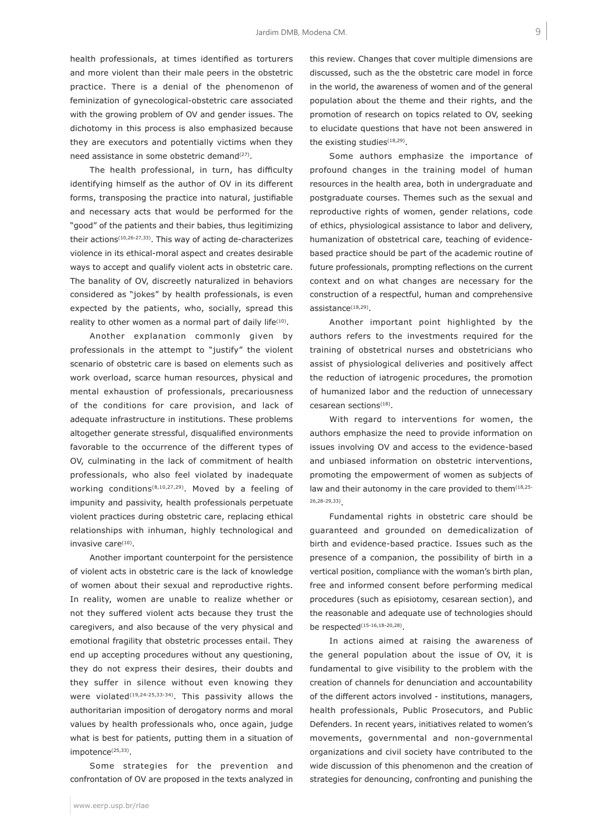health professionals, at times identified as torturers and more violent than their male peers in the obstetric practice. There is a denial of the phenomenon of feminization of gynecological-obstetric care associated with the growing problem of OV and gender issues. The dichotomy in this process is also emphasized because they are executors and potentially victims when they need assistance in some obstetric demand<sup>(27)</sup>.

The health professional, in turn, has difficulty identifying himself as the author of OV in its different forms, transposing the practice into natural, justifiable and necessary acts that would be performed for the "good" of the patients and their babies, thus legitimizing their actions(10,26-27,33). This way of acting de-characterizes violence in its ethical-moral aspect and creates desirable ways to accept and qualify violent acts in obstetric care. The banality of OV, discreetly naturalized in behaviors considered as "jokes" by health professionals, is even expected by the patients, who, socially, spread this reality to other women as a normal part of daily life<sup>(10)</sup>.

Another explanation commonly given by professionals in the attempt to "justify" the violent scenario of obstetric care is based on elements such as work overload, scarce human resources, physical and mental exhaustion of professionals, precariousness of the conditions for care provision, and lack of adequate infrastructure in institutions. These problems altogether generate stressful, disqualified environments favorable to the occurrence of the different types of OV, culminating in the lack of commitment of health professionals, who also feel violated by inadequate working conditions(8,10,27,29). Moved by a feeling of impunity and passivity, health professionals perpetuate violent practices during obstetric care, replacing ethical relationships with inhuman, highly technological and invasive care<sup>(10)</sup>.

Another important counterpoint for the persistence of violent acts in obstetric care is the lack of knowledge of women about their sexual and reproductive rights. In reality, women are unable to realize whether or not they suffered violent acts because they trust the caregivers, and also because of the very physical and emotional fragility that obstetric processes entail. They end up accepting procedures without any questioning, they do not express their desires, their doubts and they suffer in silence without even knowing they were violated<sup>(19,24-25,33-34)</sup>. This passivity allows the authoritarian imposition of derogatory norms and moral values by health professionals who, once again, judge what is best for patients, putting them in a situation of impotence<sup>(25,33)</sup>.

Some strategies for the prevention and confrontation of OV are proposed in the texts analyzed in

www.eerp.usp.br/rlae

this review. Changes that cover multiple dimensions are discussed, such as the the obstetric care model in force in the world, the awareness of women and of the general population about the theme and their rights, and the promotion of research on topics related to OV, seeking to elucidate questions that have not been answered in the existing studies<sup>(18,29)</sup>.

Some authors emphasize the importance of profound changes in the training model of human resources in the health area, both in undergraduate and postgraduate courses. Themes such as the sexual and reproductive rights of women, gender relations, code of ethics, physiological assistance to labor and delivery, humanization of obstetrical care, teaching of evidencebased practice should be part of the academic routine of future professionals, prompting reflections on the current context and on what changes are necessary for the construction of a respectful, human and comprehensive assistance<sup>(18,29)</sup>.

Another important point highlighted by the authors refers to the investments required for the training of obstetrical nurses and obstetricians who assist of physiological deliveries and positively affect the reduction of iatrogenic procedures, the promotion of humanized labor and the reduction of unnecessary cesarean sections<sup>(18)</sup>.

With regard to interventions for women, the authors emphasize the need to provide information on issues involving OV and access to the evidence-based and unbiased information on obstetric interventions, promoting the empowerment of women as subjects of law and their autonomy in the care provided to them<sup>(18,25-</sup> 26,28-29,33).

Fundamental rights in obstetric care should be guaranteed and grounded on demedicalization of birth and evidence-based practice. Issues such as the presence of a companion, the possibility of birth in a vertical position, compliance with the woman's birth plan, free and informed consent before performing medical procedures (such as episiotomy, cesarean section), and the reasonable and adequate use of technologies should be respected(15-16,18-20,28).

In actions aimed at raising the awareness of the general population about the issue of OV, it is fundamental to give visibility to the problem with the creation of channels for denunciation and accountability of the different actors involved - institutions, managers, health professionals, Public Prosecutors, and Public Defenders. In recent years, initiatives related to women's movements, governmental and non-governmental organizations and civil society have contributed to the wide discussion of this phenomenon and the creation of strategies for denouncing, confronting and punishing the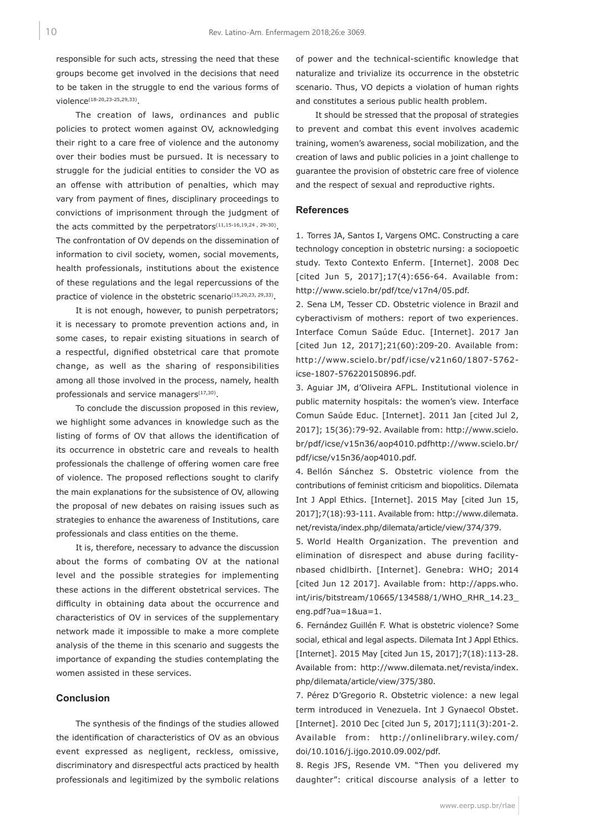responsible for such acts, stressing the need that these groups become get involved in the decisions that need to be taken in the struggle to end the various forms of violence(18-20,23-25,29,33).

The creation of laws, ordinances and public policies to protect women against OV, acknowledging their right to a care free of violence and the autonomy over their bodies must be pursued. It is necessary to struggle for the judicial entities to consider the VO as an offense with attribution of penalties, which may vary from payment of fines, disciplinary proceedings to convictions of imprisonment through the judgment of the acts committed by the perpetrators<sup>(11,15-16,19,24, 29-30)</sup>. The confrontation of OV depends on the dissemination of information to civil society, women, social movements, health professionals, institutions about the existence of these regulations and the legal repercussions of the practice of violence in the obstetric scenario<sup>(15,20,23, 29,33)</sup>.

It is not enough, however, to punish perpetrators; it is necessary to promote prevention actions and, in some cases, to repair existing situations in search of a respectful, dignified obstetrical care that promote change, as well as the sharing of responsibilities among all those involved in the process, namely, health professionals and service managers<sup>(17,30)</sup>.

To conclude the discussion proposed in this review, we highlight some advances in knowledge such as the listing of forms of OV that allows the identification of its occurrence in obstetric care and reveals to health professionals the challenge of offering women care free of violence. The proposed reflections sought to clarify the main explanations for the subsistence of OV, allowing the proposal of new debates on raising issues such as strategies to enhance the awareness of Institutions, care professionals and class entities on the theme.

It is, therefore, necessary to advance the discussion about the forms of combating OV at the national level and the possible strategies for implementing these actions in the different obstetrical services. The difficulty in obtaining data about the occurrence and characteristics of OV in services of the supplementary network made it impossible to make a more complete analysis of the theme in this scenario and suggests the importance of expanding the studies contemplating the women assisted in these services.

## **Conclusion**

The synthesis of the findings of the studies allowed the identification of characteristics of OV as an obvious event expressed as negligent, reckless, omissive, discriminatory and disrespectful acts practiced by health professionals and legitimized by the symbolic relations of power and the technical-scientific knowledge that naturalize and trivialize its occurrence in the obstetric scenario. Thus, VO depicts a violation of human rights and constitutes a serious public health problem.

It should be stressed that the proposal of strategies to prevent and combat this event involves academic training, women's awareness, social mobilization, and the creation of laws and public policies in a joint challenge to guarantee the provision of obstetric care free of violence and the respect of sexual and reproductive rights.

#### **References**

1. Torres JA, Santos I, Vargens OMC. Constructing a care technology conception in obstetric nursing: a sociopoetic study. Texto Contexto Enferm. [Internet]. 2008 Dec [cited Jun 5, 2017];17(4):656-64. Available from: http://www.scielo.br/pdf/tce/v17n4/05.pdf.

2. Sena LM, Tesser CD. Obstetric violence in Brazil and cyberactivism of mothers: report of two experiences. Interface Comun Saúde Educ. [Internet]. 2017 Jan [cited Jun 12, 2017];21(60):209-20. Available from: http://www.scielo.br/pdf/icse/v21n60/1807-5762 icse-1807-576220150896.pdf.

3. Aguiar JM, d'Oliveira AFPL. Institutional violence in public maternity hospitals: the women's view. Interface Comun Saúde Educ. [Internet]. 2011 Jan [cited Jul 2, 2017]; 15(36):79-92. Available from: http://www.scielo. br/pdf/icse/v15n36/aop4010.pdfhttp://www.scielo.br/ pdf/icse/v15n36/aop4010.pdf.

4. Bellón Sánchez S. Obstetric violence from the contributions of feminist criticism and biopolitics. Dilemata Int J Appl Ethics. [Internet]. 2015 May [cited Jun 15, 2017];7(18):93-111. Available from: http://www.dilemata. net/revista/index.php/dilemata/article/view/374/379.

5. World Health Organization. The prevention and elimination of disrespect and abuse during facilitynbased chidlbirth. [Internet]. Genebra: WHO; 2014 [cited Jun 12 2017]. Available from: http://apps.who. int/iris/bitstream/10665/134588/1/WHO\_RHR\_14.23\_ eng.pdf?ua=1&ua=1.

6. Fernández Guillén F. What is obstetric violence? Some social, ethical and legal aspects. Dilemata Int J Appl Ethics. [Internet]. 2015 May [cited Jun 15, 2017];7(18):113-28. Available from: http://www.dilemata.net/revista/index. php/dilemata/article/view/375/380.

7. Pérez D'Gregorio R. Obstetric violence: a new legal term introduced in Venezuela. Int J Gynaecol Obstet. [Internet]. 2010 Dec [cited Jun 5, 2017];111(3):201-2. Available from: http://onlinelibrary.wiley.com/ doi/10.1016/j.ijgo.2010.09.002/pdf.

8. Regis JFS, Resende VM. "Then you delivered my daughter": critical discourse analysis of a letter to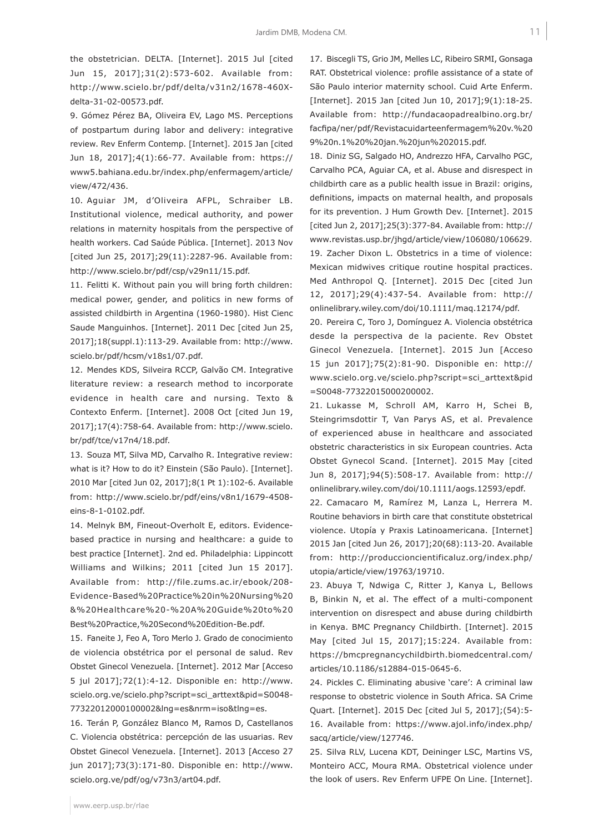the obstetrician. DELTA. [Internet]. 2015 Jul [cited Jun 15, 2017];31(2):573-602. Available from: http://www.scielo.br/pdf/delta/v31n2/1678-460Xdelta-31-02-00573.pdf.

9. Gómez Pérez BA, Oliveira EV, Lago MS. Perceptions of postpartum during labor and delivery: integrative review. Rev Enferm Contemp. [Internet]. 2015 Jan [cited Jun 18, 2017];4(1):66-77. Available from: https:// www5.bahiana.edu.br/index.php/enfermagem/article/ view/472/436.

10. Aguiar JM, d'Oliveira AFPL, Schraiber LB. Institutional violence, medical authority, and power relations in maternity hospitals from the perspective of health workers. Cad Saúde Pública. [Internet]. 2013 Nov [cited Jun 25, 2017];29(11):2287-96. Available from: http://www.scielo.br/pdf/csp/v29n11/15.pdf.

11. Felitti K. Without pain you will bring forth children: medical power, gender, and politics in new forms of assisted childbirth in Argentina (1960-1980). Hist Cienc Saude Manguinhos. [Internet]. 2011 Dec [cited Jun 25, 2017];18(suppl.1):113-29. Available from: http://www. scielo.br/pdf/hcsm/v18s1/07.pdf.

12. Mendes KDS, Silveira RCCP, Galvão CM. Integrative literature review: a research method to incorporate evidence in health care and nursing. Texto & Contexto Enferm. [Internet]. 2008 Oct [cited Jun 19, 2017];17(4):758-64. Available from: http://www.scielo. br/pdf/tce/v17n4/18.pdf.

13. Souza MT, Silva MD, Carvalho R. Integrative review: what is it? How to do it? Einstein (São Paulo). [Internet]. 2010 Mar [cited Jun 02, 2017];8(1 Pt 1):102-6. Available from: http://www.scielo.br/pdf/eins/v8n1/1679-4508 eins-8-1-0102.pdf.

14. Melnyk BM, Fineout-Overholt E, editors. Evidencebased practice in nursing and healthcare: a guide to best practice [Internet]. 2nd ed. Philadelphia: Lippincott Williams and Wilkins; 2011 [cited Jun 15 2017]. Available from: http://file.zums.ac.ir/ebook/208- Evidence-Based%20Practice%20in%20Nursing%20 &%20Healthcare%20-%20A%20Guide%20to%20 Best%20Practice,%20Second%20Edition-Be.pdf.

15. Faneite J, Feo A, Toro Merlo J. Grado de conocimiento de violencia obstétrica por el personal de salud. Rev Obstet Ginecol Venezuela. [Internet]. 2012 Mar [Acceso 5 jul 2017];72(1):4-12. Disponible en: http://www. scielo.org.ve/scielo.php?script=sci\_arttext&pid=S0048- 77322012000100002&lng=es&nrm=iso&tlng=es.

16. Terán P, González Blanco M, Ramos D, Castellanos C. Violencia obstétrica: percepción de las usuarias. Rev Obstet Ginecol Venezuela. [Internet]. 2013 [Acceso 27 jun 2017];73(3):171-80. Disponible en: http://www. scielo.org.ve/pdf/og/v73n3/art04.pdf.

17. Biscegli TS, Grio JM, Melles LC, Ribeiro SRMI, Gonsaga RAT. Obstetrical violence: profile assistance of a state of São Paulo interior maternity school. Cuid Arte Enferm. [Internet]. 2015 Jan [cited Jun 10, 2017];9(1):18-25. Available from: http://fundacaopadrealbino.org.br/ facfipa/ner/pdf/Revistacuidarteenfermagem%20v.%20 9%20n.1%20%20jan.%20jun%202015.pdf.

18. Diniz SG, Salgado HO, Andrezzo HFA, Carvalho PGC, Carvalho PCA, Aguiar CA, et al. Abuse and disrespect in childbirth care as a public health issue in Brazil: origins, definitions, impacts on maternal health, and proposals for its prevention. J Hum Growth Dev. [Internet]. 2015 [cited Jun 2, 2017];25(3):377-84. Available from: http:// www.revistas.usp.br/jhgd/article/view/106080/106629. 19. Zacher Dixon L. Obstetrics in a time of violence: Mexican midwives critique routine hospital practices. Med Anthropol Q. [Internet]. 2015 Dec [cited Jun 12, 2017];29(4):437-54. Available from: http:// onlinelibrary.wiley.com/doi/10.1111/maq.12174/pdf.

20. Pereira C, Toro J, Domínguez A. Violencia obstétrica desde la perspectiva de la paciente. Rev Obstet Ginecol Venezuela. [Internet]. 2015 Jun [Acceso 15 jun 2017];75(2):81-90. Disponible en: http:// www.scielo.org.ve/scielo.php?script=sci\_arttext&pid =S0048-77322015000200002.

21. Lukasse M, Schroll AM, Karro H, Schei B, Steingrimsdottir T, Van Parys AS, et al. Prevalence of experienced abuse in healthcare and associated obstetric characteristics in six European countries. Acta Obstet Gynecol Scand. [Internet]. 2015 May [cited Jun 8, 2017];94(5):508-17. Available from: http:// onlinelibrary.wiley.com/doi/10.1111/aogs.12593/epdf.

22. Camacaro M, Ramírez M, Lanza L, Herrera M. Routine behaviors in birth care that constitute obstetrical violence. Utopía y Praxis Latinoamericana. [Internet] 2015 Jan [cited Jun 26, 2017];20(68):113-20. Available from: http://produccioncientificaluz.org/index.php/ utopia/article/view/19763/19710.

23. Abuya T, Ndwiga C, Ritter J, Kanya L, Bellows B, Binkin N, et al. The effect of a multi-component intervention on disrespect and abuse during childbirth in Kenya. BMC Pregnancy Childbirth. [Internet]. 2015 May [cited Jul 15, 2017];15:224. Available from: https://bmcpregnancychildbirth.biomedcentral.com/ articles/10.1186/s12884-015-0645-6.

24. Pickles C. Eliminating abusive 'care': A criminal law response to obstetric violence in South Africa. SA Crime Quart. [Internet]. 2015 Dec [cited Jul 5, 2017];(54):5- 16. Available from: https://www.ajol.info/index.php/ sacq/article/view/127746.

25. Silva RLV, Lucena KDT, Deininger LSC, Martins VS, Monteiro ACC, Moura RMA. Obstetrical violence under the look of users. Rev Enferm UFPE On Line. [Internet].